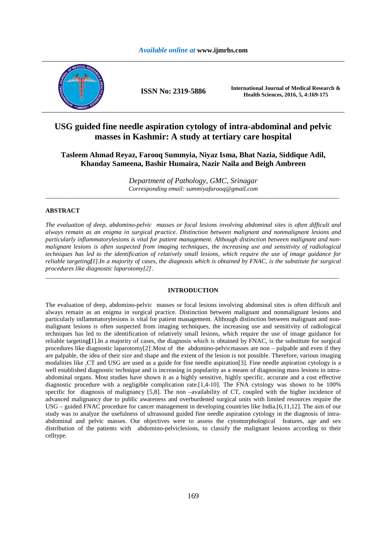## *Available online at* **www.ijmrhs.com**



# **USG guided fine needle aspiration cytology of intra-abdominal and pelvic masses in Kashmir: A study at tertiary care hospital**

**Tasleem Ahmad Reyaz, Farooq Summyia, Niyaz Isma, Bhat Nazia, Siddique Adil, Khanday Sameena, Bashir Humaira, Nazir Naila and Beigh Ambreen** 

*Department of Pathology, GMC, Srinagar Corresponding email: summiyafarooq@gmail.com*  \_\_\_\_\_\_\_\_\_\_\_\_\_\_\_\_\_\_\_\_\_\_\_\_\_\_\_\_\_\_\_\_\_\_\_\_\_\_\_\_\_\_\_\_\_\_\_\_\_\_\_\_\_\_\_\_\_\_\_\_\_\_\_\_\_\_\_\_\_\_\_\_\_\_\_\_\_\_\_\_\_\_\_\_\_\_\_\_\_\_\_\_\_

## **ABSTRACT**

*The evaluation of deep, abdomino-pelvic masses or focal lesions involving abdominal sites is often difficult and always remain as an enigma in surgical practice. Distinction between malignant and nonmalignant lesions and particularly inflammatorylesions is vital for patient management. Although distinction between malignant and nonmalignant lesions is often suspected from imaging techniques, the increasing use and sensitivity of radiological techniques has led to the identification of relatively small lesions, which require the use of image guidance for reliable targeting[1].In a majority of cases, the diagnosis which is obtained by FNAC, is the substitute for surgical procedures like diagnostic laparotomy[2], .*

#### **INTRODUCTION**

\_\_\_\_\_\_\_\_\_\_\_\_\_\_\_\_\_\_\_\_\_\_\_\_\_\_\_\_\_\_\_\_\_\_\_\_\_\_\_\_\_\_\_\_\_\_\_\_\_\_\_\_\_\_\_\_\_\_\_\_\_\_\_\_\_\_\_\_\_\_\_\_\_\_\_\_\_\_\_\_\_\_\_\_\_\_\_\_\_\_\_\_\_

The evaluation of deep, abdomino-pelvic masses or focal lesions involving abdominal sites is often difficult and always remain as an enigma in surgical practice. Distinction between malignant and nonmalignant lesions and particularly inflammatorylesions is vital for patient management. Although distinction between malignant and nonmalignant lesions is often suspected from imaging techniques, the increasing use and sensitivity of radiological techniques has led to the identification of relatively small lesions, which require the use of image guidance for reliable targeting**[**1].In a majority of cases, the diagnosis which is obtained by FNAC, is the substitute for surgical procedures like diagnostic laparotomy[2]'.Most of the abdomino-pelvicmasses are non – palpable and even if they are palpable, the idea of their size and shape and the extent of the lesion is not possible. Therefore, various imaging modalities like ,CT and USG are used as a guide for fine needle aspiration[3]. Fine needle aspiration cytology is a well established diagnostic technique and is increasing in popularity as a means of diagnosing mass lesions in intraabdominal organs. Most studies have shown it as a highly sensitive, highly specific, accurate and a cost effective diagnostic procedure with a negligible complication rate.[1,4-10]. The FNA cytology was shown to be 100% specific for diagnosis of malignancy [5,8]. The non –availability of CT, coupled with the higher incidence of advanced malignancy due to public awareness and overburdened surgical units with limited resources require the USG – guided FNAC procedure for cancer management in developing countries like India.[6,11,12]. The aim of our study was to analyze the usefulness of ultrasound guided fine needle aspiration cytology in the diagnosis of intraabdominal and pelvic masses. Our objectives were to assess the cytomorphological features, age and sex distribution of the patients with abdomino-pelviclesions, to classify the malignant lesions according to their celltype.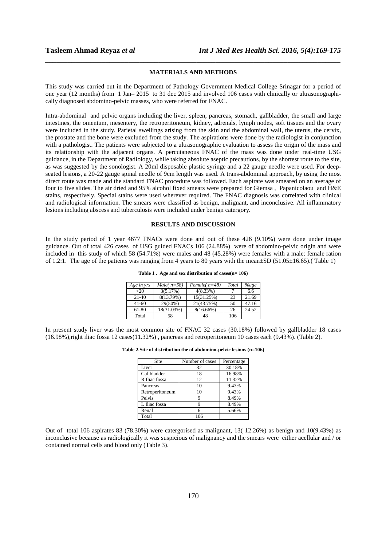# *\_\_\_\_\_\_\_\_\_\_\_\_\_\_\_\_\_\_\_\_\_\_\_\_\_\_\_\_\_\_\_\_\_\_\_\_\_\_\_\_\_\_\_\_\_\_\_\_\_\_\_\_\_\_\_\_\_\_\_\_\_\_\_\_\_\_\_\_\_\_\_\_\_\_\_\_\_\_* **MATERIALS AND METHODS**

This study was carried out in the Department of Pathology Government Medical College Srinagar for a period of one year (12 months) from 1 Jan– 2015 to 31 dec 2015 and involved 106 cases with clinically or ultrasonographically diagnosed abdomino-pelvic masses, who were referred for FNAC.

Intra-abdominal and pelvic organs including the liver, spleen, pancreas, stomach, gallbladder, the small and large intestines, the omentum, mesentery, the retroperitoneum, kidney, adrenals, lymph nodes, soft tissues and the ovary were included in the study. Parietal swellings arising from the skin and the abdominal wall, the uterus, the cervix, the prostate and the bone were excluded from the study. The aspirations were done by the radiologist in conjunction with a pathologist. The patients were subjected to a ultrasonographic evaluation to assess the origin of the mass and its relationship with the adjacent organs. A percutaneous FNAC of the mass was done under real-time USG guidance, in the Department of Radiology, while taking absolute aseptic precautions, by the shortest route to the site, as was suggested by the sonologist. A 20ml disposable plastic syringe and a 22 gauge needle were used. For deepseated lesions, a 20-22 gauge spinal needle of 9cm length was used. A trans-abdominal approach, by using the most direct route was made and the standard FNAC procedure was followed. Each aspirate was smeared on an average of four to five slides. The air dried and 95% alcohol fixed smears were prepared for Giemsa , Papanicolaou and H&E stains, respectively. Special stains were used wherever required. The FNAC diagnosis was correlated with clinical and radiological information. The smears were classified as benign, malignant, and inconclusive. All inflammatory lesions including abscess and tuberculosis were included under benign catergory.

### **RESULTS AND DISCUSSION**

In the study period of 1 year 4677 FNACs were done and out of these 426 (9.10%) were done under image guidance. Out of total 426 cases of USG guided FNACs 106 (24.88%) were of abdomino-pelvic origin and were included in this study of which 58 (54.71%) were males and 48 (45.28%) were females with a male: female ration of 1.2:1. The age of the patients was ranging from 4 years to 80 years with the mean±SD (51.05±16.65).( Table 1)

**Table 1 . Age and sex distribution of cases(n= 106)** 

| Age in yrs | Male( $n=58$ ) | Female $(n=48)$ | Total | <i>Yoage</i> |
|------------|----------------|-----------------|-------|--------------|
| $20$       | 3(5.17%)       | $4(8.33\%)$     |       | 6.6          |
| $21-40$    | 8(13.79%)      | 15(31.25%)      | 23    | 21.69        |
| 41-60      | 29(50%)        | 21(43.75%)      | 50    | 47.16        |
| 61-80      | 18(31.03%)     | 8(16.66%)       | 26    | 24.52        |
| Total      | 58             | 48              | 106   |              |

In present study liver was the most common site of FNAC 32 cases (30.18%) followed by gallbladder 18 cases (16.98%),right iliac fossa 12 cases(11.32%) , pancreas and retroperitoneum 10 cases each (9.43%). (Table 2).

| Table 2. Site of distribution the of abdomino-pelvic lesions $(n=106)$ |  |  |
|------------------------------------------------------------------------|--|--|
|------------------------------------------------------------------------|--|--|

| Site            | Number of cases | Percentage |  |
|-----------------|-----------------|------------|--|
| Liver           | 32              | 30.18%     |  |
| Gallbladder     | 18              | 16.98%     |  |
| R Iliac fossa   | 12              | 11.32%     |  |
| Pancreas        | 10              | 9.43%      |  |
| Retroperitoneum | 10              | 9.43%      |  |
| Pelvis          | Q               | 8.49%      |  |
| L Iliac fossa   | 9               | 8.49%      |  |
| Renal           | 6               | 5.66%      |  |
| Total           | 106             |            |  |

Out of total 106 aspirates 83 (78.30%) were catergorised as malignant, 13( 12.26%) as benign and 10(9.43%) as inconclusive because as radiologically it was suspicious of malignancy and the smears were either acellular and / or contained normal cells and blood only (Table 3).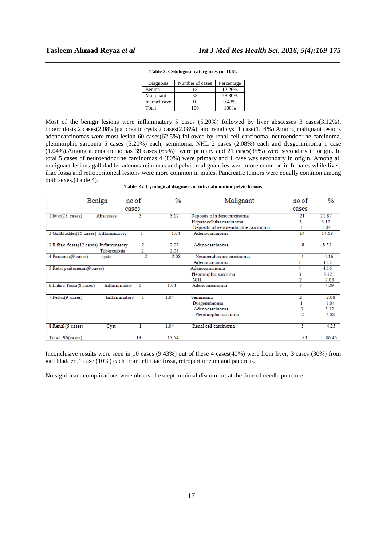| Diagnosis    | Number of cases | Percentage |
|--------------|-----------------|------------|
| Benign       | 13              | 12.26%     |
| Malignant    | 83              | 78.30%     |
| Inconclusive | 10              | 9.43%      |
| Total        | 106             | 100%       |

*\_\_\_\_\_\_\_\_\_\_\_\_\_\_\_\_\_\_\_\_\_\_\_\_\_\_\_\_\_\_\_\_\_\_\_\_\_\_\_\_\_\_\_\_\_\_\_\_\_\_\_\_\_\_\_\_\_\_\_\_\_\_\_\_\_\_\_\_\_\_\_\_\_\_\_\_\_\_* **Table 3. Cytological catergories (n=106).** 

Most of the benign lesions were inflammatory 5 cases (5.20%) followed by liver abscesses 3 cases(3.12%), tuberculosis 2 cases(2.08%)pancreatic cysts 2 cases(2.08%), and renal cyst 1 case(1.04%).Among malignant lesions adenocarcinomas were most lesion 60 cases(62.5%) followed by renal cell carcinoma, neuroendocrine carcinoma, pleomorphic sarcoma 5 cases (5.20%) each, seminoma, NHL 2 cases (2.08%) each and dysgerminoma 1 case (1.04%).Among adenocarcinomas 39 cases (65%) were primary and 21 cases(35%) were secondary in origin. In total 5 cases of neuroendocrine carcinomas 4 (80%) were primary and 1 case was secondary in origin. Among all malignant lesions gallbladder adenocarcinomas and pelvic malignancies were more common in females while liver, iliac fossa and retroperitoneal lesions were more common in males. Pancreatic tumors were equally common among both sexes.(Table 4).

| Table 4: Cytological diagnosis of intra-abdomino-pelvic lesions |  |
|-----------------------------------------------------------------|--|
|-----------------------------------------------------------------|--|

|                                        | no of<br>Benign     |                | $\frac{0}{0}$ | Malignant                            | no of          | $\frac{0}{0}$ |
|----------------------------------------|---------------------|----------------|---------------|--------------------------------------|----------------|---------------|
|                                        | cases               |                |               |                                      | cases          |               |
| $1$ .liver $(28 \text{ cases})$        | Abscesses           | 3              | 3.12          | Deposits of adenocarcinoma           | 21             | 21.87         |
|                                        |                     |                |               | Hepatocellular carcinoma             | 3              | 3.12          |
|                                        |                     |                |               | Deposits of neuroendocrine carcinoma |                | 1.04          |
| 2.Gallbladder(15 cases) Inflammatory   |                     |                | 1.04          | Adenocarcinoma                       | 14             | 14.58         |
| 3.R iliac fossa(12 cases) Inflammatory |                     | 2              | 2.08          | Adenocarcinoma                       | 8              | 8.33          |
|                                        | <b>Tuberculosis</b> |                | 2.08          |                                      |                |               |
| 4.Pancreas(9 cases)                    | cysts               | $\overline{2}$ | 2.08          | Neuroendocrine carcinoma             | 4              | 4.16          |
|                                        |                     |                |               | Adenocarcinoma                       | 3              | 3.12          |
| 5. Retroperitoneum (9 cases)           |                     |                |               | Adenocarcinoma                       | 4              | 4.16          |
|                                        |                     |                |               | Pleomorphic sarcoma                  | 3              | 3.12          |
|                                        |                     |                |               | <b>NHL</b>                           |                | 2.08          |
| 6.L iliac fossa(8 cases)               | Inflammatory        |                | 1.04          | Adenocarcinoma                       | ÷              | 7.29          |
| 7.Pelvis(9 cases)                      | Inflammatory        |                | 1.04          | Seminoma                             | 2              | 2.08          |
|                                        |                     |                |               | Dysgerminoma                         |                | 1.04          |
|                                        |                     |                |               | Adenocarcinoma                       | 3              | 3.12          |
|                                        |                     |                |               | Pleomorphic sarcoma                  | $\overline{2}$ | 2.08          |
| 8.Renal(6 cases)                       | Cyst                |                | 1.04          | Renal cell carcinoma                 | 5.             | 4.25          |
| Total 96(cases)                        |                     | 13             | 13.54         |                                      | 83             | 86.45         |

Inconclusive results were seen in 10 cases (9.43%) out of these 4 cases(40%) were from liver, 3 cases (30%) from gall bladder ,1 case (10%) each from left iliac fossa, retroperitoneum and pancreas.

No significant complications were observed except minimal discomfort at the time of needle puncture.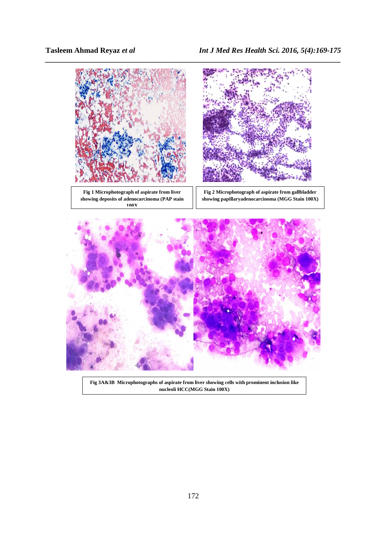

**Fig 1 Microphotograph of aspirate from liver showing deposits of adenocarcinoma (PAP stain 100X**



**Fig 2 Microphotograph of aspirate from gallbladder showing papillaryadenocarcinoma (MGG Stain 100X)**



**Fig 3A&3B Microphotographs of aspirate from liver showing cells with prominent inclusion like nucleoli HCC(MGG Stain 100X)**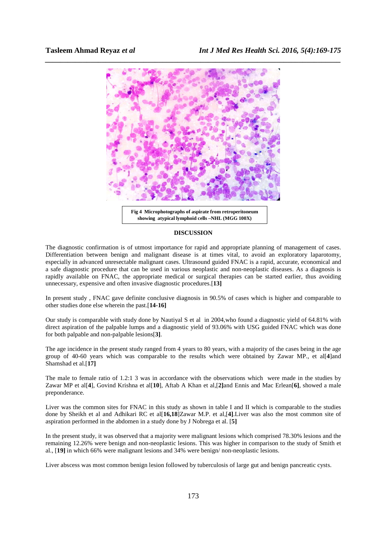

#### **DISCUSSION**

The diagnostic confirmation is of utmost importance for rapid and appropriate planning of management of cases. Differentiation between benign and malignant disease is at times vital, to avoid an exploratory laparotomy, especially in advanced unresectable malignant cases. Ultrasound guided FNAC is a rapid, accurate, economical and a safe diagnostic procedure that can be used in various neoplastic and non-neoplastic diseases. As a diagnosis is rapidly available on FNAC, the appropriate medical or surgical therapies can be started earlier, thus avoiding unnecessary, expensive and often invasive diagnostic procedures.[**13]** 

In present study , FNAC gave definite conclusive diagnosis in 90.5% of cases which is higher and comparable to other studies done else wherein the past.[**14-16]** 

Our study is comparable with study done by Nautiyal S et al in 2004,who found a diagnostic yield of 64.81% with direct aspiration of the palpable lumps and a diagnostic yield of 93.06% with USG guided FNAC which was done for both palpable and non-palpable lesions[**3]**.

The age incidence in the present study ranged from 4 years to 80 years, with a majority of the cases being in the age group of 40-60 years which was comparable to the results which were obtained by Zawar MP., et al[**4**]and Shamshad et al.[**17]** 

The male to female ratio of 1.2:1 3 was in accordance with the observations which were made in the studies by Zawar MP et al[**4**], Govind Krishna et al[**10**], Aftab A Khan et al,[**2]**and Ennis and Mac Erlean[**6]**, showed a male preponderance.

Liver was the common sites for FNAC in this study as shown in table I and II which is comparable to the studies done by Sheikh et al and Adhikari RC et al[**16,18**]Zawar M.P. et al,[**4]**.Liver was also the most common site of aspiration performed in the abdomen in a study done by J Nobrega et al. [**5]** 

In the present study, it was observed that a majority were malignant lesions which comprised 78.30% lesions and the remaining 12.26% were benign and non-neoplastic lesions. This was higher in comparison to the study of Smith et al., [**19]** in which 66% were malignant lesions and 34% were benign/ non-neoplastic lesions.

Liver abscess was most common benign lesion followed by tuberculosis of large gut and benign pancreatic cysts.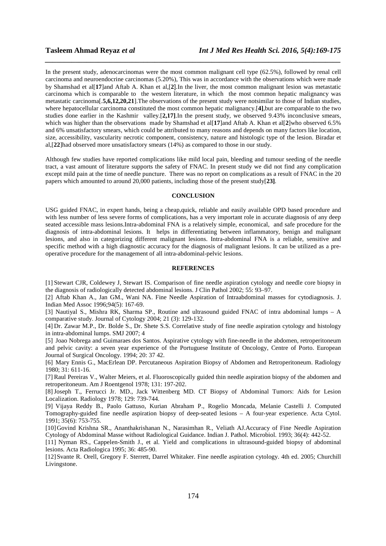In the present study, adenocarcinomas were the most common malignant cell type (62.5%), followed by renal cell carcinoma and neuroendocrine carcinomas (5.20%), This was in accordance with the observations which were made by Shamshad et al[**17**]and Aftab A. Khan et al,[**2**].In the liver, the most common malignant lesion was metastatic carcinoma which is comparable to the western literature, in which the most common hepatic malignancy was metastatic carcinoma[.**5,6,12,20,21**].The observations of the present study were notsimilar to those of Indian studies, where hepatocellular carcinoma constituted the most common hepatic malignancy.[**4]**,but are comparable to the two studies done earlier in the Kashmir valley.[**2,17]**.In the present study, we observed 9.43% inconclusive smears, which was higher than the observations made by Shamshad et al[**17**]and Aftab A. Khan et al[**2**]who observed 6.5% and 6% unsatisfactory smears, which could be attributed to many reasons and depends on many factors like location, size, accessibility, vascularity necrotic component, consistency, nature and histologic type of the lesion. Biradar et al,[**22**]had observed more unsatisfactory smears (14%) as compared to those in our study.

*\_\_\_\_\_\_\_\_\_\_\_\_\_\_\_\_\_\_\_\_\_\_\_\_\_\_\_\_\_\_\_\_\_\_\_\_\_\_\_\_\_\_\_\_\_\_\_\_\_\_\_\_\_\_\_\_\_\_\_\_\_\_\_\_\_\_\_\_\_\_\_\_\_\_\_\_\_\_*

Although few studies have reported complications like mild local pain, bleeding and tumour seeding of the needle tract, a vast amount of literature supports the safety of FNAC. In present study we did not find any complication except mild pain at the time of needle puncture. There was no report on complications as a result of FNAC in the 20 papers which amounted to around 20,000 patients, including those of the present study[**23]**.

### **CONCLUSION**

USG guided FNAC, in expert hands, being a cheap,quick, reliable and easily available OPD based procedure and with less number of less severe forms of complications, has a very important role in accurate diagnosis of any deep seated accessible mass lesions.Intra-abdominal FNA is a relatively simple, economical, and safe procedure for the diagnosis of intra-abdominal lesions. It helps in differentiating between inflammatory, benign and malignant lesions, and also in categorizing different malignant lesions. Intra-abdominal FNA is a reliable, sensitive and specific method with a high diagnostic accuracy for the diagnosis of malignant lesions. It can be utilized as a preoperative procedure for the management of all intra-abdominal-pelvic lesions.

### **REFERENCES**

[1] Stewart CJR, Coldewey J, Stewart IS. Comparison of fine needle aspiration cytology and needle core biopsy in the diagnosis of radiologically detected abdominal lesions. J Clin Pathol 2002; 55: 93–97.

[2] Aftab Khan A., Jan GM., Wani NA. Fine Needle Aspiration of Intraabdominal masses for cytodiagnosis. J. Indian Med Assoc 1996;94(5): 167-69.

[3] Nautiyal S., Mishra RK, Sharma SP., Routine and ultrasound guided FNAC of intra abdominal lumps – A comparative study. Journal of Cytology 2004; 21 (3): 129-132.

[4] Dr. Zawar M.P., Dr. Bolde S., Dr. Shete S.S. Correlative study of fine needle aspiration cytology and histology in intra-abdominal lumps. SMJ 2007; 4

[5] Joao Nobrega and Guimaraes dos Santos. Aspirative cytology with fine-needle in the abdomen, retroperitoneum and pelvic cavity: a seven year experience of the Portuguese Institute of Oncology, Centre of Porto. European Journal of Surgical Oncology. 1994; 20: 37 42.

[6] Mary Ennis G., MacErlean DP. Percutaneous Aspiration Biopsy of Abdomen and Retroperitoneum. Radiology 1980; 31: 611-16.

[7] Raul Pereiras V., Walter Meiers, et al. Fluoroscopically guided thin needle aspiration biopsy of the abdomen and retroperitoneum. Am J Roentgenol 1978; 131: 197-202.

[8]Joseph T., Ferrucci Jr. MD., Jack Wittenberg MD. CT Biopsy of Abdominal Tumors: Aids for Lesion Localization. Radiology 1978; 129: 739-744.

[9] Vijaya Reddy B., Paolo Gattuso, Kurian Abraham P., Rogelio Moncada, Melanie Castelli J. Computed Tomography-guided fine needle aspiration biopsy of deep-seated lesions – A four-year experience. Acta Cytol. 1991; 35(6): 753-755.

[10]Govind Krishna SR., Ananthakrishanan N., Narasimhan R., Veliath AJ.Accuracy of Fine Needle Aspiration Cytology of Abdominal Masse without Radiological Guidance. Indian J. Pathol. Microbiol. 1993; 36(4): 442-52.

[11] Nyman RS., Cappelen-Smith J., et al. Yield and complications in ultrasound-guided biopsy of abdominal lesions. Acta Radiologica 1995; 36: 485-90.

[12]Svante R. Orell, Gregory F. Sterrett, Darrel Whitaker. Fine needle aspiration cytology. 4th ed. 2005; Churchill Livingstone.